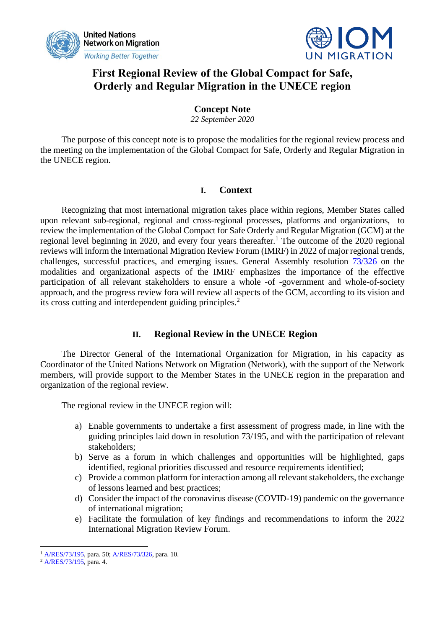



## **First Regional Review of the Global Compact for Safe, Orderly and Regular Migration in the UNECE region**

## **Concept Note**

*22 September 2020*

The purpose of this concept note is to propose the modalities for the regional review process and the meeting on the implementation of the Global Compact for Safe, Orderly and Regular Migration in the UNECE region.

### **I. Context**

Recognizing that most international migration takes place within regions, Member States called upon relevant sub-regional, regional and cross-regional processes, platforms and organizations, to review the implementation of the Global Compact for Safe Orderly and Regular Migration (GCM) at the regional level beginning in 2020, and every four years thereafter.<sup>1</sup> The outcome of the 2020 regional reviews will inform the International Migration Review Forum (IMRF) in 2022 of major regional trends, challenges, successful practices, and emerging issues. General Assembly resolution [73/326](https://undocs.org/en/A/RES/73/326) on the modalities and organizational aspects of the IMRF emphasizes the importance of the effective participation of all relevant stakeholders to ensure a whole -of -government and whole-of-society approach, and the progress review fora will review all aspects of the GCM, according to its vision and its cross cutting and interdependent guiding principles.<sup>2</sup>

## **II. Regional Review in the UNECE Region**

The Director General of the International Organization for Migration, in his capacity as Coordinator of the United Nations Network on Migration (Network), with the support of the Network members, will provide support to the Member States in the UNECE region in the preparation and organization of the regional review.

The regional review in the UNECE region will:

- a) Enable governments to undertake a first assessment of progress made, in line with the guiding principles laid down in resolution 73/195, and with the participation of relevant stakeholders;
- b) Serve as a forum in which challenges and opportunities will be highlighted, gaps identified, regional priorities discussed and resource requirements identified;
- c) Provide a common platform for interaction among all relevant stakeholders, the exchange of lessons learned and best practices;
- d) Consider the impact of the coronavirus disease (COVID-19) pandemic on the governance of international migration;
- e) Facilitate the formulation of key findings and recommendations to inform the 2022 International Migration Review Forum.

<sup>1</sup> [A/RES/73/195,](https://undocs.org/en/A/RES/73/195) para. 50[; A/RES/73/326,](https://undocs.org/en/A/RES/73/326) para. 10.

<sup>2</sup> [A/RES/73/195,](https://undocs.org/en/A/RES/73/195) para. 4.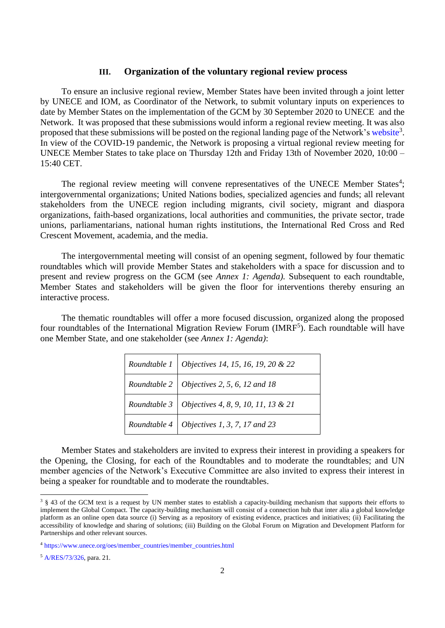#### **III. Organization of the voluntary regional review process**

To ensure an inclusive regional review, Member States have been invited through a joint letter by UNECE and IOM, as Coordinator of the Network, to submit voluntary inputs on experiences to date by Member States on the implementation of the GCM by 30 September 2020 to UNECE and the Network. It was proposed that these submissions would inform a regional review meeting. It was also proposed that these submissions will be posted on the regional landing page of the Network'[s website](https://migrationnetwork.un.org/country-regional-network/europe-north-america)<sup>3</sup>. In view of the COVID-19 pandemic, the Network is proposing a virtual regional review meeting for UNECE Member States to take place on Thursday 12th and Friday 13th of November 2020, 10:00 – 15:40 CET.

The regional review meeting will convene representatives of the UNECE Member States<sup>4</sup>; intergovernmental organizations; United Nations bodies, specialized agencies and funds; all relevant stakeholders from the UNECE region including migrants, civil society, migrant and diaspora organizations, faith-based organizations, local authorities and communities, the private sector, trade unions, parliamentarians, national human rights institutions, the International Red Cross and Red Crescent Movement, academia, and the media.

The intergovernmental meeting will consist of an opening segment, followed by four thematic roundtables which will provide Member States and stakeholders with a space for discussion and to present and review progress on the GCM (see *Annex 1: Agenda).* Subsequent to each roundtable, Member States and stakeholders will be given the floor for interventions thereby ensuring an interactive process.

The thematic roundtables will offer a more focused discussion, organized along the proposed four roundtables of the International Migration Review Forum (IMRF<sup>5</sup>). Each roundtable will have one Member State, and one stakeholder (see *Annex 1: Agenda)*:

| Roundtable 1   Objectives 14, 15, 16, 19, 20 & 22  |
|----------------------------------------------------|
| Roundtable 2   Objectives 2, 5, 6, 12 and 18       |
| Roundtable 3   Objectives 4, 8, 9, 10, 11, 13 & 21 |
| Roundtable 4 Objectives 1, 3, 7, 17 and 23         |

Member States and stakeholders are invited to express their interest in providing a speakers for the Opening, the Closing, for each of the Roundtables and to moderate the roundtables; and UN member agencies of the Network's Executive Committee are also invited to express their interest in being a speaker for roundtable and to moderate the roundtables.

<sup>&</sup>lt;sup>3</sup> § 43 of the GCM text is a request by UN member states to establish a capacity-building mechanism that supports their efforts to implement the Global Compact. The capacity-building mechanism will consist of a connection hub that inter alia a global knowledge platform as an online open data source (i) Serving as a repository of existing evidence, practices and initiatives; (ii) Facilitating the accessibility of knowledge and sharing of solutions; (iii) Building on the Global Forum on Migration and Development Platform for Partnerships and other relevant sources.

<sup>4</sup> [https://www.unece.org/oes/member\\_countries/member\\_countries.html](https://www.unece.org/oes/member_countries/member_countries.html)

<sup>5</sup> [A/RES/73/326,](https://undocs.org/en/A/RES/73/326) para. 21.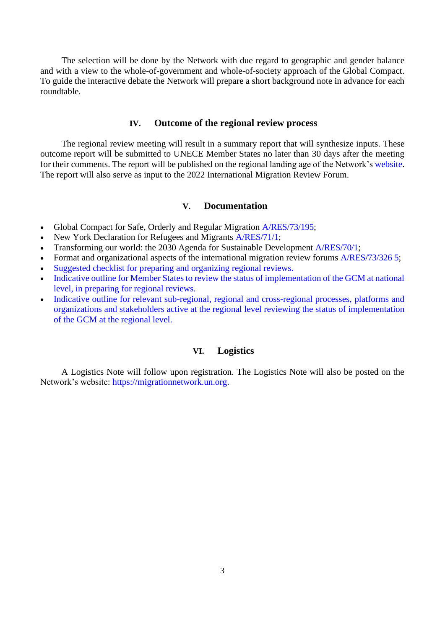The selection will be done by the Network with due regard to geographic and gender balance and with a view to the whole-of-government and whole-of-society approach of the Global Compact. To guide the interactive debate the Network will prepare a short background note in advance for each roundtable.

#### **IV. Outcome of the regional review process**

The regional review meeting will result in a summary report that will synthesize inputs. These outcome report will be submitted to UNECE Member States no later than 30 days after the meeting for their comments. The report will be published on the regional landing age of the Network'[s website.](https://migrationnetwork.un.org/country-regional-network/europe-north-america) The report will also serve as input to the 2022 International Migration Review Forum.

#### **V. Documentation**

- Global Compact for Safe, Orderly and Regular Migration [A/RES/73/195;](https://undocs.org/en/A/RES/73/195)
- New York Declaration for Refugees and Migrants [A/RES/71/1;](https://undocs.org/en/A/RES/71/1)
- Transforming our world: the 2030 Agenda for Sustainable Development [A/RES/70/1;](https://undocs.org/A/RES/70/1)
- Format and organizational aspects of the international migration review forums [A/RES/73/326 5;](https://undocs.org/en/A/RES/73/326)
- [Suggested checklist for preparing and organizing regional reviews.](https://migrationnetwork.un.org/sites/default/files/docs/checklist_.pdf)
- [Indicative outline for Member States to review the status of implementation of the GCM at national](https://migrationnetwork.un.org/sites/default/files/docs/indicative_outline_for_member_states.pdf)  [level, in preparing for regional reviews.](https://migrationnetwork.un.org/sites/default/files/docs/indicative_outline_for_member_states.pdf)
- [Indicative outline for relevant sub-regional, regional and cross-regional processes, platforms and](https://migrationnetwork.un.org/sites/default/files/docs/indicative_outline_sub-regional_regional_and_cross-regional_processes_platforms_and_organizations_and_stakeholders.pdf)  [organizations and stakeholders active at the regional level reviewing the status of implementation](https://migrationnetwork.un.org/sites/default/files/docs/indicative_outline_sub-regional_regional_and_cross-regional_processes_platforms_and_organizations_and_stakeholders.pdf)  [of the GCM at the regional level.](https://migrationnetwork.un.org/sites/default/files/docs/indicative_outline_sub-regional_regional_and_cross-regional_processes_platforms_and_organizations_and_stakeholders.pdf)

#### **VI. Logistics**

A Logistics Note will follow upon registration. The Logistics Note will also be posted on the Network's website: [https://migrationnetwork.un.org.](https://migrationnetwork.un.org/)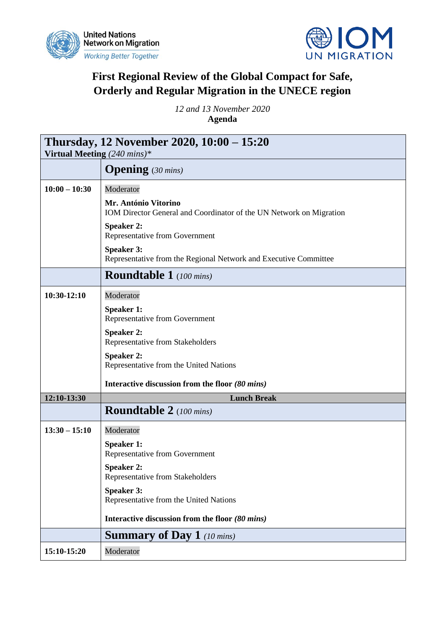



# **First Regional Review of the Global Compact for Safe, Orderly and Regular Migration in the UNECE region**

*12 and 13 November 2020* **Agenda** 

| Thursday, 12 November 2020, 10:00 – 15:20<br>Virtual Meeting $(240 \text{ mins})^*$ |                                                                                             |  |
|-------------------------------------------------------------------------------------|---------------------------------------------------------------------------------------------|--|
|                                                                                     | <b>Opening</b> $(30 \text{ mins})$                                                          |  |
| $10:00 - 10:30$                                                                     | Moderator                                                                                   |  |
|                                                                                     | Mr. António Vitorino<br>IOM Director General and Coordinator of the UN Network on Migration |  |
|                                                                                     | <b>Speaker 2:</b><br>Representative from Government                                         |  |
|                                                                                     | <b>Speaker 3:</b><br>Representative from the Regional Network and Executive Committee       |  |
|                                                                                     | <b>Roundtable 1</b> (100 mins)                                                              |  |
| $10:30-12:10$                                                                       | Moderator                                                                                   |  |
|                                                                                     | <b>Speaker 1:</b><br>Representative from Government                                         |  |
|                                                                                     | <b>Speaker 2:</b><br>Representative from Stakeholders                                       |  |
|                                                                                     | <b>Speaker 2:</b><br>Representative from the United Nations                                 |  |
|                                                                                     | Interactive discussion from the floor (80 mins)                                             |  |
| 12:10-13:30                                                                         | <b>Lunch Break</b>                                                                          |  |
|                                                                                     | <b>Roundtable 2</b> (100 mins)                                                              |  |
| $13:30 - 15:10$                                                                     | Moderator                                                                                   |  |
|                                                                                     | <b>Speaker 1:</b><br>Representative from Government                                         |  |
|                                                                                     | <b>Speaker 2:</b><br>Representative from Stakeholders                                       |  |
|                                                                                     | <b>Speaker 3:</b><br>Representative from the United Nations                                 |  |
|                                                                                     | Interactive discussion from the floor (80 mins)                                             |  |
|                                                                                     | <b>Summary of Day 1</b> (10 mins)                                                           |  |
| 15:10-15:20                                                                         | Moderator                                                                                   |  |